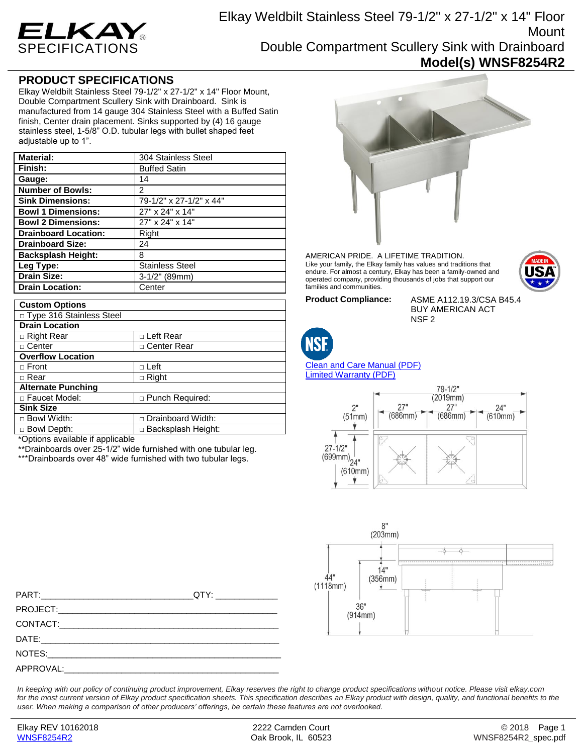

## **PRODUCT SPECIFICATIONS**

Elkay Weldbilt Stainless Steel 79-1/2" x 27-1/2" x 14" Floor Mount, Double Compartment Scullery Sink with Drainboard. Sink is manufactured from 14 gauge 304 Stainless Steel with a Buffed Satin finish, Center drain placement. Sinks supported by (4) 16 gauge stainless steel, 1-5/8" O.D. tubular legs with bullet shaped feet adjustable up to 1".

| <b>Material:</b>            | 304 Stainless Steel     |
|-----------------------------|-------------------------|
| Finish:                     | <b>Buffed Satin</b>     |
| Gauge:                      | 14                      |
| <b>Number of Bowls:</b>     | 2                       |
| <b>Sink Dimensions:</b>     | 79-1/2" x 27-1/2" x 44" |
| <b>Bowl 1 Dimensions:</b>   | 27" x 24" x 14"         |
| <b>Bowl 2 Dimensions:</b>   | 27" x 24" x 14"         |
| <b>Drainboard Location:</b> | Right                   |
| <b>Drainboard Size:</b>     | 24                      |
| <b>Backsplash Height:</b>   | 8                       |
| Leg Type:                   | <b>Stainless Steel</b>  |
| <b>Drain Size:</b>          | $3-1/2"$ (89mm)         |
| <b>Drain Location:</b>      | Center                  |

| <b>Custom Options</b>                   |                             |
|-----------------------------------------|-----------------------------|
| □ Type 316 Stainless Steel              |                             |
| <b>Drain Location</b>                   |                             |
| □ Right Rear                            | □ Left Rear                 |
| □ Center                                | □ Center Rear               |
| <b>Overflow Location</b>                |                             |
| $\Box$ Front                            | $\Box$ Left                 |
| $\sqcap$ Rear                           | $\Box$ Right                |
| <b>Alternate Punching</b>               |                             |
| □ Faucet Model:                         | $\Box$ Punch Required:      |
| <b>Sink Size</b>                        |                             |
| $\Box$ Bowl Width:                      | Drainboard Width:<br>$\Box$ |
| □ Bowl Depth:                           | Backsplash Height:<br>n.    |
| $* \cap$ ationo ovailable if opplieable |                             |



\*\*Drainboards over 25-1/2" wide furnished with one tubular leg.

\*\*\*Drainboards over 48" wide furnished with two tubular legs.



AMERICAN PRIDE. A LIFETIME TRADITION. Like your family, the Elkay family has values and traditions that endure. For almost a century, Elkay has been a family-owned and operated company, providing thousands of jobs that support our families and communities.

**Product Compliance:** ASME A112.19.3/CSA B45.4 BUY AMERICAN ACT NSF 2



[Clean and Care Manual \(PDF\)](http://www.elkay.com/wcsstore/lkdocs/care-cleaning-install-warranty-sheets/residential%20and%20commercial%20care%20%20cleaning.pdf) [Limited Warranty](http://www.elkay.com/wcsstore/lkdocs/care-cleaning-install-warranty-sheets/commercial%20sinks%20and%20faucets%20warranty.pdf) (PDF)





PART:\_\_\_\_\_\_\_\_\_\_\_\_\_\_\_\_\_\_\_\_\_\_\_\_\_\_\_\_\_\_\_\_QTY: \_\_\_\_\_\_\_\_\_\_\_\_\_ PROJECT: CONTACT: DATE:\_\_\_\_\_\_\_\_\_\_\_\_\_\_\_\_\_\_\_\_\_\_\_\_\_\_\_\_\_\_\_\_\_\_\_\_\_\_\_\_\_\_\_\_\_\_\_\_\_\_ NOTES: APPROVAL:

*In keeping with our policy of continuing product improvement, Elkay reserves the right to change product specifications without notice. Please visit elkay.com*  for the most current version of Elkay product specification sheets. This specification describes an Elkay product with design, quality, and functional benefits to the *user. When making a comparison of other producers' offerings, be certain these features are not overlooked.*